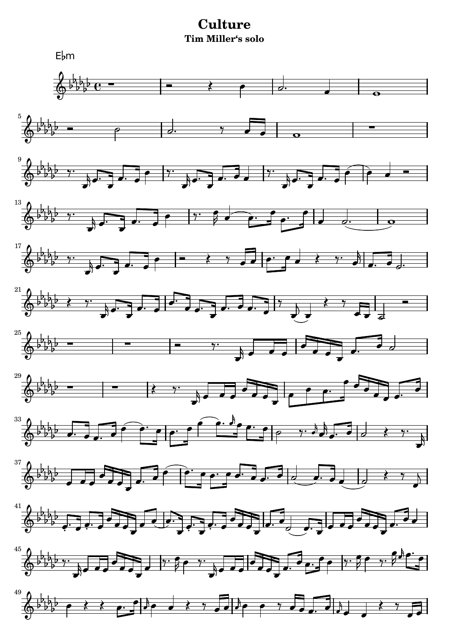## **Culture Tim Miller's solo**